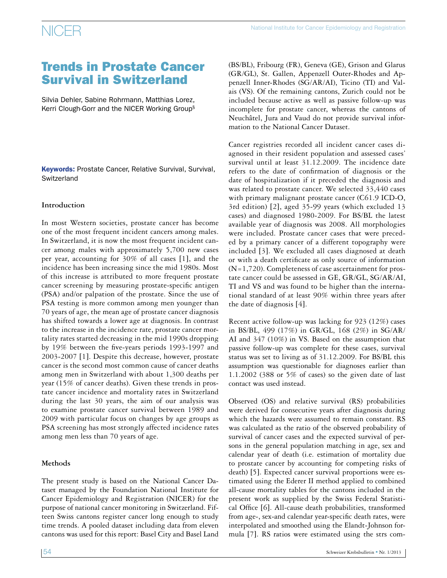## Trends in Prostate Cancer Survival in Switzerland

Silvia Dehler, Sabine Rohrmann, Matthias Lorez, Kerri Clough-Gorr and the NICER Working Group§

**Keywords: Prostate Cancer, Relative Survival, Survival, Switzerland** 

### **Introduction**

In most Western societies, prostate cancer has become one of the most frequent incident cancers among males. In Switzerland, it is now the most frequent incident cancer among males with approximately 5,700 new cases per year, accounting for 30% of all cases [1], and the incidence has been increasing since the mid 1980s. Most of this increase is attributed to more frequent prostate cancer screening by measuring prostate-specific antigen (PSA) and/or palpation of the prostate. Since the use of PSA testing is more common among men younger than 70 years of age, the mean age of prostate cancer diagnosis has shifted towards a lower age at diagnosis. In contrast to the increase in the incidence rate, prostate cancer mortality rates started decreasing in the mid 1990s dropping by 19% between the five-years periods 1993-1997 and 2003-2007 [1]. Despite this decrease, however, prostate cancer is the second most common cause of cancer deaths among men in Switzerland with about 1,300 deaths per year (15% of cancer deaths). Given these trends in prostate cancer incidence and mortality rates in Switzerland during the last 30 years, the aim of our analysis was to examine prostate cancer survival between 1989 and 2009 with particular focus on changes by age groups as PSA screening has most strongly affected incidence rates among men less than 70 years of age.

### **Methods**

The present study is based on the National Cancer Dataset managed by the Foundation National Institute for Cancer Epidemiology and Registration (NICER) for the purpose of national cancer monitoring in Switzerland. Fifteen Swiss cantons register cancer long enough to study time trends. A pooled dataset including data from eleven cantons was used for this report: Basel City and Basel Land (BS/BL), Fribourg (FR), Geneva (GE), Grison and Glarus (GR/GL), St. Gallen, Appenzell Outer-Rhodes and Appenzell Inner-Rhodes (SG/AR/AI), Ticino (TI) and Valais (VS). Of the remaining cantons, Zurich could not be included because active as well as passive follow-up was incomplete for prostate cancer, whereas the cantons of Neuchâtel, Jura and Vaud do not provide survival information to the National Cancer Dataset.

Cancer registries recorded all incident cancer cases diagnosed in their resident population and assessed cases' survival until at least 31.12.2009. The incidence date refers to the date of confirmation of diagnosis or the date of hospitalization if it preceded the diagnosis and was related to prostate cancer. We selected 33,440 cases with primary malignant prostate cancer (C61.9 ICD-O, 3rd edition) [2], aged 35-99 years (which excluded 13 cases) and diagnosed 1980-2009. For BS/BL the latest available year of diagnosis was 2008. All morphologies were included. Prostate cancer cases that were preceded by a primary cancer of a different topography were included [3]. We excluded all cases diagnosed at death or with a death certificate as only source of information (N=1,720). Completeness of case ascertainment for prostate cancer could be assessed in GE, GR/GL, SG/AR/AI, TI and VS and was found to be higher than the international standard of at least 90% within three years after the date of diagnosis [4].

Recent active follow-up was lacking for 923 (12%) cases in BS/BL, 499 (17%) in GR/GL, 168 (2%) in SG/AR/ AI and 347 (10%) in VS. Based on the assumption that passive follow-up was complete for these cases, survival status was set to living as of 31.12.2009. For BS/BL this assumption was questionable for diagnoses earlier than 1.1.2002 (388 or 5% of cases) so the given date of last contact was used instead.

Observed (OS) and relative survival (RS) probabilities were derived for consecutive years after diagnosis during which the hazards were assumed to remain constant. RS was calculated as the ratio of the observed probability of survival of cancer cases and the expected survival of persons in the general population matching in age, sex and calendar year of death (i.e. estimation of mortality due to prostate cancer by accounting for competing risks of death) [5]. Expected cancer survival proportions were estimated using the Ederer II method applied to combined all-cause mortality tables for the cantons included in the present work as supplied by the Swiss Federal Statistical Office [6]. All-cause death probabilities, transformed from age-, sex-and calendar year-specific death rates, were interpolated and smoothed using the Elandt-Johnson formula [7]. RS ratios were estimated using the strs com-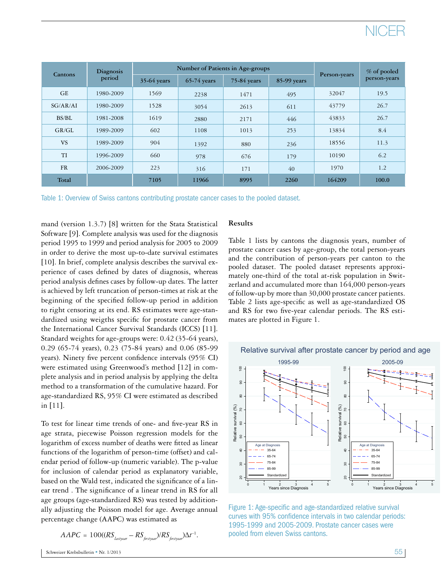# NICER

| <b>Cantons</b> | Diagnosis<br>period |               | Number of Patients in Age-groups |             | % of pooled |              |              |
|----------------|---------------------|---------------|----------------------------------|-------------|-------------|--------------|--------------|
|                |                     | $35-64$ years | $65-74$ years                    | 75-84 years | 85-99 years | Person-years | person-years |
| <b>GE</b>      | 1980-2009           | 1569          | 2238                             | 1471        | 495         | 32047        | 19.5         |
| SG/AR/AI       | 1980-2009           | 1528          | 3054                             | 2613        | 611         | 43779        | 26.7         |
| BS/BL          | 1981-2008           | 1619          | 2880                             | 2171        | 446         | 43833        | 26.7         |
| GR/GL          | 1989-2009           | 602           | 1108                             | 1013        | 253         | 13834        | 8.4          |
| <b>VS</b>      | 1989-2009           | 904           | 1392                             | 880         | 236         | 18556        | 11.3         |
| TI             | 1996-2009           | 660           | 978                              | 676         | 179         | 10190        | 6.2          |
| <b>FR</b>      | 2006-2009           | 223           | 316                              | 171         | 40          | 1970         | 1.2          |
| Total          |                     | 7105          | 11966                            | 8995        | 2260        | 164209       | 100.0        |

Table 1: Overview of Swiss cantons contributing prostate cancer cases to the pooled dataset.

mand (version 1.3.7) [8] written for the Stata Statistical Software [9]. Complete analysis was used for the diagnosis period 1995 to 1999 and period analysis for 2005 to 2009 in order to derive the most up-to-date survival estimates [10]. In brief, complete analysis describes the survival experience of cases defined by dates of diagnosis, whereas period analysis defines cases by follow-up dates. The latter is achieved by left truncation of person-times at risk at the beginning of the specified follow-up period in addition to right censoring at its end. RS estimates were age-standardized using weigths specific for prostate cancer from the International Cancer Survival Standards (ICCS) [11]. Standard weights for age-groups were: 0.42 (35-64 years), 0.29 (65-74 years), 0.23 (75-84 years) and 0.06 (85-99 years). Ninety five percent confidence intervals (95% CI) were estimated using Greenwood's method [12] in complete analysis and in period analysis by applying the delta method to a transformation of the cumulative hazard. For age-standardized RS, 95% CI were estimated as described in [11].

To test for linear time trends of one- and five-year RS in age strata, piecewise Poisson regression models for the logarithm of excess number of deaths were fitted as linear functions of the logarithm of person-time (offset) and calendar period of follow-up (numeric variable). The p-value for inclusion of calendar period as explanatory variable, based on the Wald test, indicated the significance of a linear trend . The significance of a linear trend in RS for all age groups (age-standardized RS) was tested by additionally adjusting the Poisson model for age. Average annual percentage change (AAPC) was estimated as

$$
AAPC = 100((RSlastyear - RSfirst year)/RSfirst year)\Delta t^{-1}.
$$

### **Results**

Table 1 lists by cantons the diagnosis years, number of prostate cancer cases by age-group, the total person-years and the contribution of person-years per canton to the pooled dataset. The pooled dataset represents approximately one-third of the total at-risk population in Switzerland and accumulated more than 164,000 person-years of follow-up by more than 30,000 prostate cancer patients. Table 2 lists age-specific as well as age-standardized OS and RS for two five-year calendar periods. The RS estimates are plotted in Figure 1.



Figure 1: Age-specific and age-standardized relative survival curves with 95% confidence intervals in two calendar periods: 1995-1999 and 2005-2009. Prostate cancer cases were pooled from eleven Swiss cantons.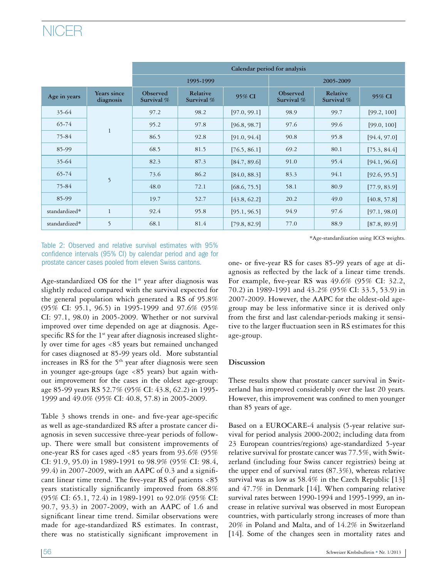# NICER

|               |                          | Calendar period for analysis                     |           |              |                        |                        |              |  |
|---------------|--------------------------|--------------------------------------------------|-----------|--------------|------------------------|------------------------|--------------|--|
|               |                          |                                                  | 1995-1999 |              | 2005-2009              |                        |              |  |
| Age in years  | Years since<br>diagnosis | Relative<br>Observed<br>Survival %<br>Survival % |           | 95% CI       | Observed<br>Survival % | Relative<br>Survival % | 95% CI       |  |
| 35-64         | $\mathbf{1}$             | 97.2                                             | 98.2      | [97.0, 99.1] | 98.9                   | 99.7                   | [99.2, 100]  |  |
| $65 - 74$     |                          | 95.2                                             | 97.8      | [96.8, 98.7] | 97.6                   | 99.6                   | [99.0, 100]  |  |
| 75-84         |                          | 86.5                                             | 92.8      | [91.0, 94.4] | 90.8                   | 95.8                   | [94.4, 97.0] |  |
| 85-99         |                          | 68.5                                             | 81.5      | [76.5, 86.1] | 69.2                   | 80.1                   | [75.3, 84.4] |  |
| 35-64         | 5                        | 82.3                                             | 87.3      | [84.7, 89.6] | 91.0                   | 95.4                   | [94.1, 96.6] |  |
| $65 - 74$     |                          | 73.6                                             | 86.2      | [84.0, 88.3] | 83.3                   | 94.1                   | [92.6, 95.5] |  |
| 75-84         |                          | 48.0                                             | 72.1      | [68.6, 75.5] | 58.1                   | 80.9                   | [77.9, 83.9] |  |
| 85-99         |                          | 19.7                                             | 52.7      | [43.8, 62.2] | 20.2                   | 49.0                   | [40.8, 57.8] |  |
| standardized* | $\mathbf{1}$             | 92.4                                             | 95.8      | [95.1, 96.5] | 94.9                   | 97.6                   | [97.1, 98.0] |  |
| standardized* | 5                        | 68.1                                             | 81.4      | [79.8, 82.9] | 77.0                   | 88.9                   | [87.8, 89.9] |  |

Table 2: Observed and relative survival estimates with 95% confidence intervals (95% CI) by calendar period and age for prostate cancer cases pooled from eleven Swiss cantons. one- or five-year RS for cases 85-99 years of age at di-

Age-standardized OS for the  $1<sup>st</sup>$  year after diagnosis was slightly reduced compared with the survival expected for the general population which generated a RS of 95.8% (95% CI: 95.1, 96.5) in 1995-1999 and 97.6% (95% CI: 97.1, 98.0) in 2005-2009. Whether or not survival improved over time depended on age at diagnosis. Agespecific RS for the 1<sup>st</sup> year after diagnosis increased slightly over time for ages <85 years but remained unchanged for cases diagnosed at 85-99 years old. More substantial increases in RS for the  $5<sup>th</sup>$  year after diagnosis were seen in younger age-groups (age <85 years) but again without improvement for the cases in the oldest age-group: age 85-99 years RS 52.7% (95% CI: 43.8, 62.2) in 1995- 1999 and 49.0% (95% CI: 40.8, 57.8) in 2005-2009.

Table 3 shows trends in one- and five-year age-specific as well as age-standardized RS after a prostate cancer diagnosis in seven successive three-year periods of followup. There were small but consistent improvements of one-year RS for cases aged <85 years from 93.6% (95% CI: 91.9, 95.0) in 1989-1991 to 98.9% (95% CI: 98.4, 99.4) in 2007-2009, with an AAPC of 0.3 and a significant linear time trend. The five-year RS of patients <85 years statistically significantly improved from 68.8% (95% CI: 65.1, 72.4) in 1989-1991 to 92.0% (95% CI: 90.7, 93.3) in 2007-2009, with an AAPC of 1.6 and significant linear time trend. Similar observations were made for age-standardized RS estimates. In contrast, there was no statistically significant improvement in

\*Age-standardization using ICCS weights.

agnosis as reflected by the lack of a linear time trends. For example, five-year RS was 49.6% (95% CI: 32.2, 70.2) in 1989-1991 and 43.2% (95% CI: 33.5, 53.9) in 2007-2009. However, the AAPC for the oldest-old agegroup may be less informative since it is derived only from the first and last calendar-periods making it sensitive to the larger fluctuation seen in RS estimates for this age-group.

### **Discussion**

These results show that prostate cancer survival in Switzerland has improved considerably over the last 20 years. However, this improvement was confined to men younger than 85 years of age.

Based on a EUROCARE-4 analysis (5-year relative survival for period analysis 2000-2002; including data from 23 European countries/regions) age-standardized 5-year relative survival for prostate cancer was 77.5%, with Switzerland (including four Swiss cancer registries) being at the upper end of survival rates (87.3%), whereas relative survival was as low as 58.4% in the Czech Republic [13] and 47.7% in Denmark [14]. When comparing relative survival rates between 1990-1994 and 1995-1999, an increase in relative survival was observed in most European countries, with particularly strong increases of more than 20% in Poland and Malta, and of 14.2% in Switzerland [14]. Some of the changes seen in mortality rates and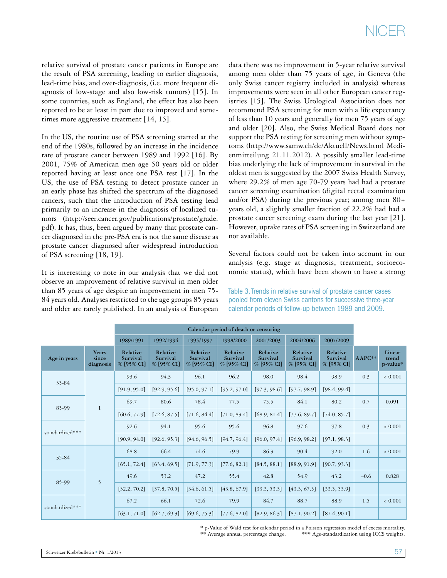# NICEI

relative survival of prostate cancer patients in Europe are the result of PSA screening, leading to earlier diagnosis, lead-time bias, and over-diagnosis, (i.e. more frequent diagnosis of low-stage and also low-risk tumors) [15]. In some countries, such as England, the effect has also been reported to be at least in part due to improved and sometimes more aggressive treatment [14, 15].

In the US, the routine use of PSA screening started at the end of the 1980s, followed by an increase in the incidence rate of prostate cancer between 1989 and 1992 [16]. By 2001, 75% of American men age 50 years old or older reported having at least once one PSA test [17]. In the US, the use of PSA testing to detect prostate cancer in an early phase has shifted the spectrum of the diagnosed cancers, such that the introduction of PSA testing lead primarily to an increase in the diagnosis of localized tumors (http://seer.cancer.gov/publications/prostate/grade. pdf). It has, thus, been argued by many that prostate cancer diagnosed in the pre-PSA era is not the same disease as prostate cancer diagnosed after widespread introduction of PSA screening [18, 19].

It is interesting to note in our analysis that we did not observe an improvement of relative survival in men older than 85 years of age despite an improvement in men 75- 84 years old. Analyses restricted to the age groups 85 years and older are rarely published. In an analysis of European

data there was no improvement in 5-year relative survival among men older than 75 years of age, in Geneva (the only Swiss cancer registry included in analysis) whereas improvements were seen in all other European cancer registries [15]. The Swiss Urological Association does not recommend PSA screening for men with a life expectancy of less than 10 years and generally for men 75 years of age and older [20]. Also, the Swiss Medical Board does not support the PSA testing for screening men without symptoms (http://www.samw.ch/de/Aktuell/News.html Medienmitteilung 21.11.2012). A possibly smaller lead-time bias underlying the lack of improvement in survival in the oldest men is suggested by the 2007 Swiss Health Survey, where 29.2% of men age 70-79 years had had a prostate cancer screening examination (digital rectal examination and/or PSA) during the previous year; among men 80+ years old, a slightly smaller fraction of 22.2% had had a prostate cancer screening exam during the last year [21]. However, uptake rates of PSA screening in Switzerland are not available.

Several factors could not be taken into account in our analysis (e.g. stage at diagnosis, treatment, socioeconomic status), which have been shown to have a strong

Table 3. Trends in relative survival of prostate cancer cases pooled from eleven Swiss cantons for successive three-year calendar periods of follow-up between 1989 and 2009.

|                 |                             | Calendar period of death or censoring |                                    |                                      |                                    |                                      |                                    |                                      |          |                             |
|-----------------|-----------------------------|---------------------------------------|------------------------------------|--------------------------------------|------------------------------------|--------------------------------------|------------------------------------|--------------------------------------|----------|-----------------------------|
|                 |                             | 1989/1991                             | 1992/1994                          | 1995/1997                            | 1998/2000                          | 2001/2003                            | 2004/2006                          | 2007/2009                            |          |                             |
| Age in years    | Years<br>since<br>diagnosis | Relative<br>Survival<br>% [95% CI]    | Relative<br>Survival<br>% [95% CI] | Relative<br>Survival<br>$%$ [95% CI] | Relative<br>Survival<br>% [95% CI] | Relative<br>Survival<br>$%$ [95% CI] | Relative<br>Survival<br>% [95% CI] | Relative<br>Survival<br>$%$ [95% CI] | $AAPC**$ | Linear<br>trend<br>p-value* |
| 35-84           | $\mathbf{1}$                | 93.6                                  | 94.3                               | 96.1                                 | 96.2                               | 98.0                                 | 98.4                               | 98.9                                 | 0.3      | ${}< 0.001$                 |
|                 |                             | [91.9, 95.0]                          | [92.9, 95.6]                       | [95.0, 97.1]                         | [95.2, 97.0]                       | [97.3, 98.6]                         | [97.7, 98.9]                       | [98.4, 99.4]                         |          |                             |
| 85-99           |                             | 69.7                                  | 80.6                               | 78.4                                 | 77.5                               | 75.5                                 | 84.1                               | 80.2                                 | 0.7      | 0.091                       |
|                 |                             | [60.6, 77.9]                          | [72.6, 87.5]                       | [71.6, 84.4]                         | [71.0, 83.4]                       | [68.9, 81.4]                         | [77.6, 89.7]                       | [74.0, 85.7]                         |          |                             |
| standardized*** |                             | 92.6                                  | 94.1                               | 95.6                                 | 95.6                               | 96.8                                 | 97.6                               | 97.8                                 | 0.3      | ${}< 0.001$                 |
|                 |                             | [90.9, 94.0]                          | [92.6, 95.3]                       | [94.6, 96.5]                         | [94.7, 96.4]                       | [96.0, 97.4]                         | [96.9, 98.2]                       | [97.1, 98.3]                         |          |                             |
|                 | 5                           | 68.8                                  | 66.4                               | 74.6                                 | 79.9                               | 86.3                                 | 90.4                               | 92.0                                 | 1.6      | ${}_{<} 0.001$              |
| 35-84           |                             | [65.1, 72.4]                          | [63.4, 69.5]                       | [71.9, 77.3]                         | [77.6, 82.1]                       | [84.5, 88.1]                         | [88.9, 91.9]                       | [90.7, 93.3]                         |          |                             |
| 85-99           |                             | 49.6                                  | 53.2                               | 47.2                                 | 55.4                               | 42.8                                 | 54.9                               | 43.2                                 | $-0.6$   | 0.828                       |
|                 |                             | [32.2, 70.2]                          | [37.8, 70.5]                       | [34.6, 61.5]                         | [43.8, 67.9]                       | [33.3, 53.3]                         | [43.3, 67.5]                       | [33.5, 53.9]                         |          |                             |
| standardized*** |                             | 67.2                                  | 66.1                               | 72.6                                 | 79.9                               | 84.7                                 | 88.7                               | 88.9                                 | 1.5      | ${}< 0.001$                 |
|                 |                             | [63.1, 71.0]                          | [62.7, 69.3]                       | [69.6, 75.3]                         | [77.6, 82.0]                       | [82.9, 86.3]                         | [87.1, 90.2]                       | [87.4, 90.1]                         |          |                             |

\* p-Value of Wald test for calendar period in a Poisson regression model of excess mortality. \*\* Average annual percentage change. \*\*\* Age-standardization using ICCS weights.